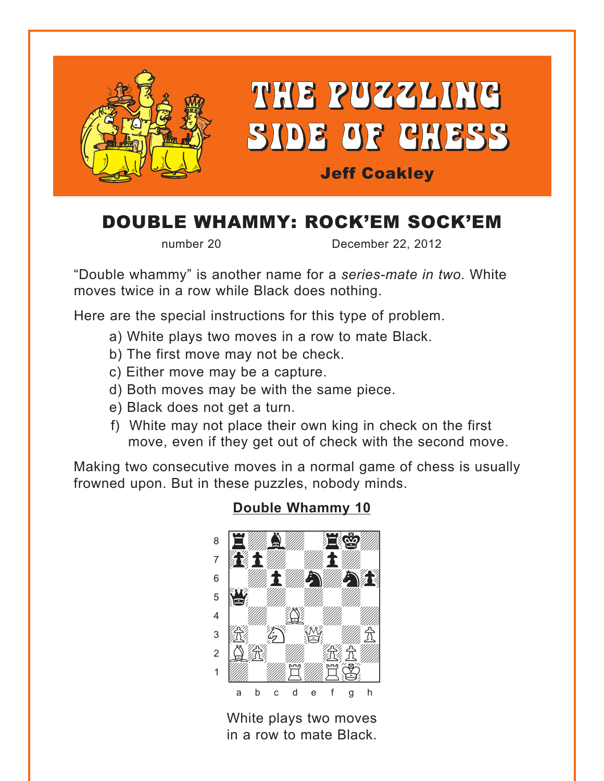<span id="page-0-0"></span>

# DOUBLE WHAMMY: ROCK'EM SOCK'EM

number 20 December 22, 2012

"Double whammy" is another name for a *series-mate in two*. White moves twice in a row while Black does nothing.

Here are the special instructions for this type of problem.

- a) White plays two moves in a row to mate Black.
- b) The first move may not be check.
- c) Either move may be a capture.
- d) Both moves may be with the same piece.
- e) Black does not get a turn.
- f) White may not place their own king in check on the first move, even if they get out of check with the second move.

Making two consecutive moves in a normal game of chess is usually frowned upon. But in these puzzles, nobody minds.

## where  $\frac{1}{\sqrt{2}}$  and  $\frac{1}{\sqrt{2}}$  and  $\frac{1}{\sqrt{2}}$  and  $\frac{1}{\sqrt{2}}$  and  $\frac{1}{\sqrt{2}}$ <u>a Eympull, Egy</u>  $\mathcal{L}^{\text{max}}$  $\mathbf{s}$  which  $\mathbf{f}$  $\frac{1}{2}$ 4 | *William Communication Communication*  $\mathbb{E}$   $\mathbb{E}$   $\mathbb{E}$   $\mathbb{E}$  $2QE$  $\frac{1}{\sqrt{2}}$   $\frac{1}{\sqrt{2}}$   $\frac{1}{\sqrt{2}}$   $\frac{1}{\sqrt{2}}$   $\frac{1}{\sqrt{2}}$   $\frac{1}{\sqrt{2}}$   $\frac{1}{\sqrt{2}}$   $\frac{1}{\sqrt{2}}$   $\frac{1}{\sqrt{2}}$   $\frac{1}{\sqrt{2}}$   $\frac{1}{\sqrt{2}}$   $\frac{1}{\sqrt{2}}$   $\frac{1}{\sqrt{2}}$   $\frac{1}{\sqrt{2}}$   $\frac{1}{\sqrt{2}}$   $\frac{1}{\sqrt{2}}$   $\frac{1}{\sqrt{2}}$  a b c d e f g h

White plays two moves in a row to mate Black.

### **[Double Whammy 10](#page-3-0)**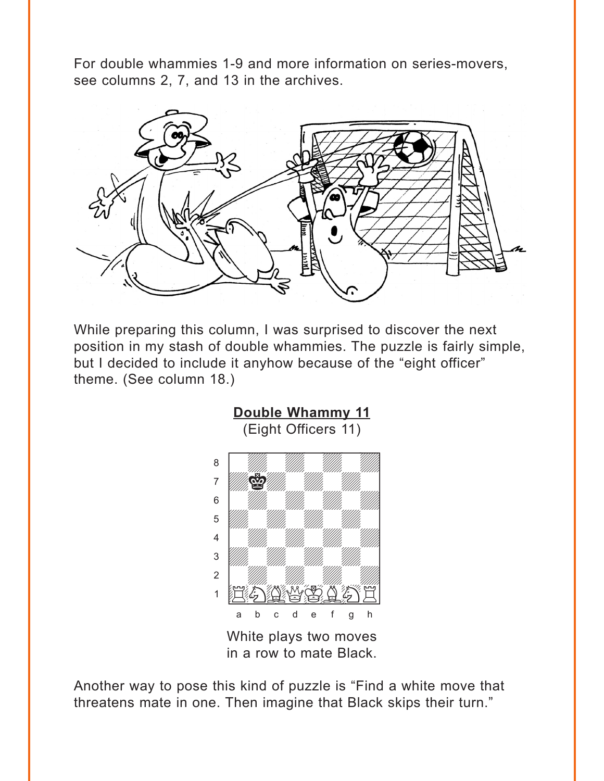<span id="page-1-0"></span>For double whammies 1-9 and more information on series-movers, see columns 2, 7, and 13 in the archives.



While preparing this column, I was surprised to discover the next position in my stash of double whammies. The puzzle is fairly simple, but I decided to include it anyhow because of the "eight officer" theme. (See column 18.)



in a row to mate Black.

Another way to pose this kind of puzzle is "Find a white move that threatens mate in one. Then imagine that Black skips their turn."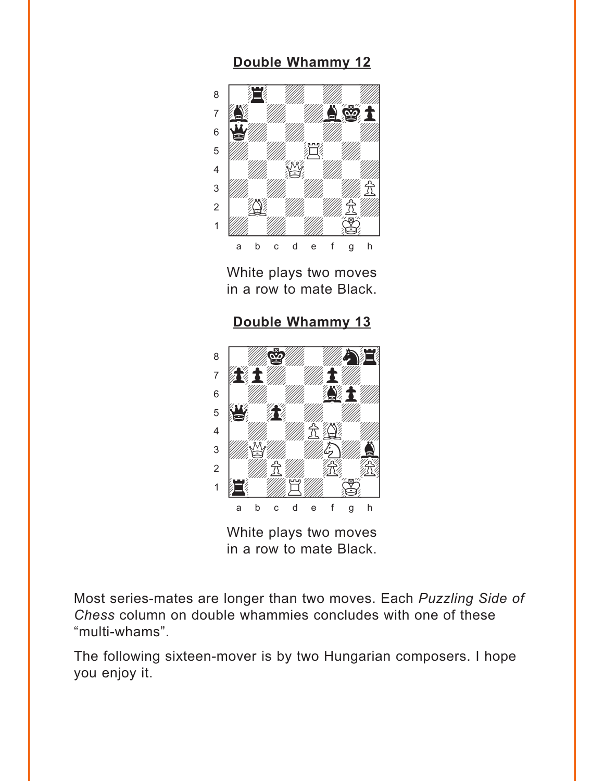## **[Double Whammy 12](#page-4-0)**

<span id="page-2-0"></span>

White plays two moves in a row to mate Black.

**[Double Whammy 13](#page-5-0)**



White plays two moves in a row to mate Black.

Most series-mates are longer than two moves. Each *Puzzling Side of Chess* column on double whammies concludes with one of these "multi-whams".

The following sixteen-mover is by two Hungarian composers. I hope you enjoy it.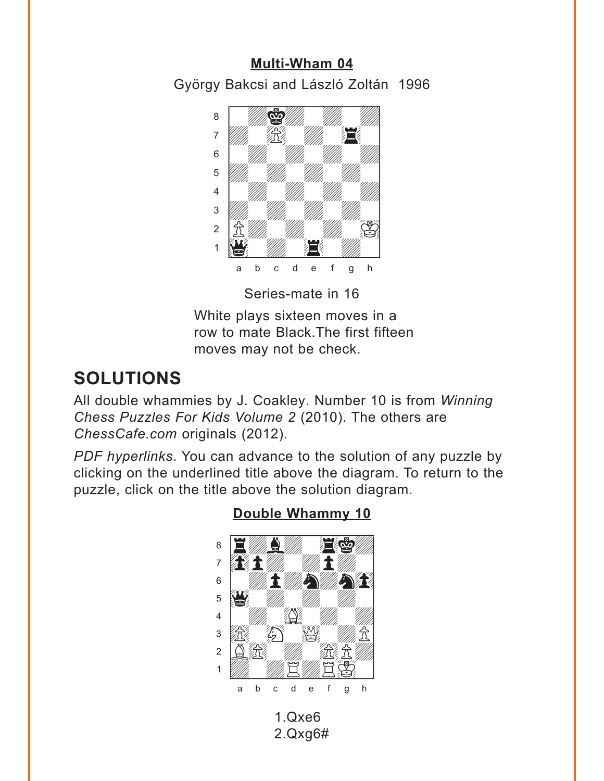## Multi-Wham 04

<span id="page-3-0"></span>György Bakcsi and László Zoltán 1996



Series-mate in 16

White plays sixteen moves in a row to mate Black. The first fifteen moves may not be check.

# **SOLUTIONS**

All double whammies by J. Coakley. Number 10 is from Winning Chess Puzzles For Kids Volume 2 (2010). The others are ChessCafe.com originals (2012).

PDF hyperlinks. You can advance to the solution of any puzzle by clicking on the underlined title above the diagram. To return to the puzzle, click on the title above the solution diagram.



Double Whammy 10

 $1.0x<sub>6</sub>$  $2.Qxq6#$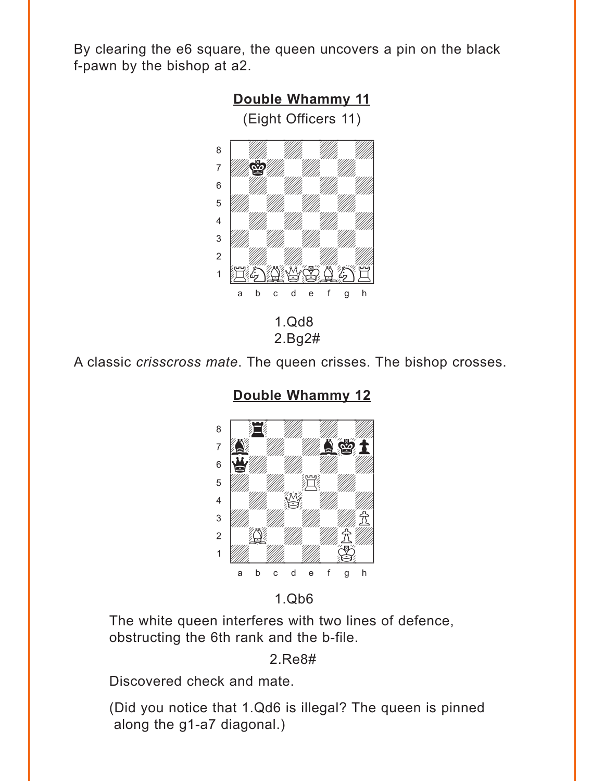<span id="page-4-0"></span>By clearing the e6 square, the queen uncovers a pin on the black f-pawn by the bishop at a2.



A classic *crisscross mate*. The queen crisses. The bishop crosses.



**[Double Whammy 12](#page-2-0)**

1.Qb6

The white queen interferes with two lines of defence, obstructing the 6th rank and the b-file.

#### 2.Re8#

Discovered check and mate.

(Did you notice that 1.Qd6 is illegal? The queen is pinned along the g1-a7 diagonal.)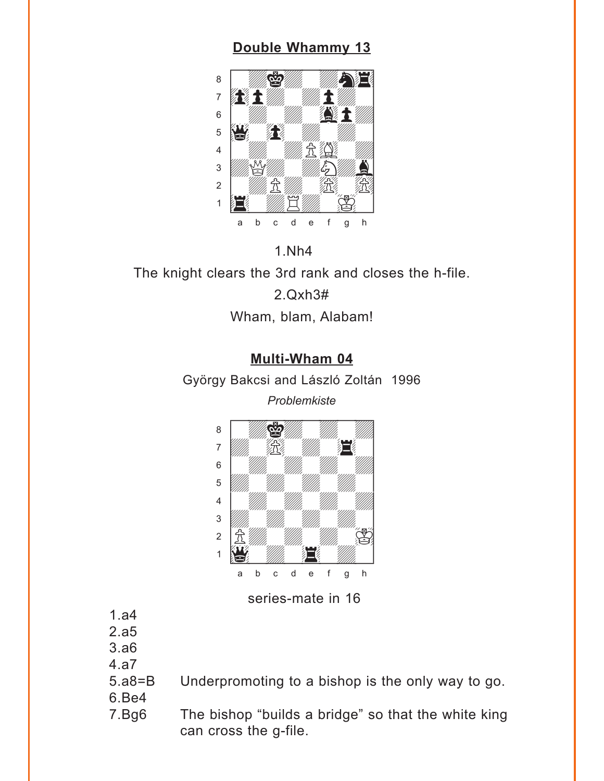## **[Double Whammy 13](#page-2-0)**

<span id="page-5-0"></span>

#### 1.Nh4

The knight clears the 3rd rank and closes the h-file.

2.Qxh3# Wham, blam, Alabam!

### **[Multi-Wham 04](#page-3-0)**

György Bakcsi and László Zoltán 1996

*Problemkiste*



#### series-mate in 16

- 1.a4
- 2.a5
- 3.a6
- 4.a7
- 5.a8=B Underpromoting to a bishop is the only way to go.
- 6.Be4
- 7.Bg6 The bishop "builds a bridge" so that the white king can cross the g-file.